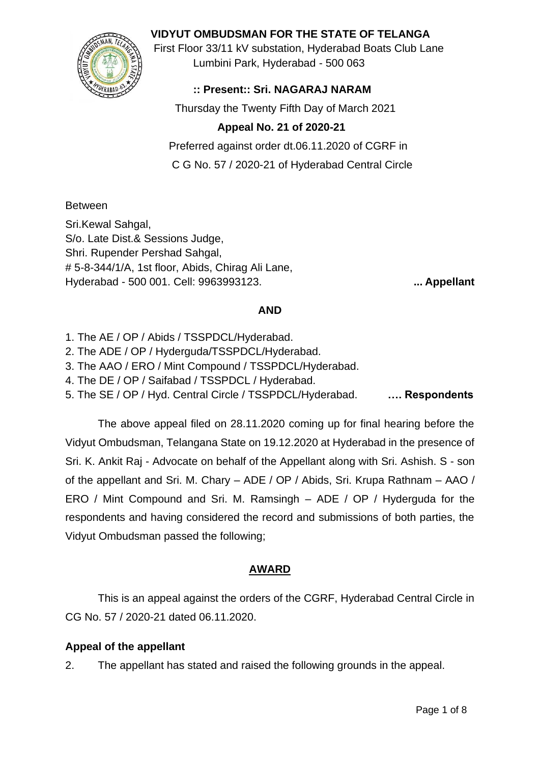## **VIDYUT OMBUDSMAN FOR THE STATE OF TELANGA**



First Floor 33/11 kV substation, Hyderabad Boats Club Lane Lumbini Park, Hyderabad - 500 063

## **:: Present:: Sri. NAGARAJ NARAM**

Thursday the Twenty Fifth Day of March 2021

# **Appeal No. 21 of 2020-21**

 Preferred against order dt.06.11.2020 of CGRF in C G No. 57 / 2020-21 of Hyderabad Central Circle

### Between

Sri.Kewal Sahgal, S/o. Late Dist.& Sessions Judge, Shri. Rupender Pershad Sahgal, # 5-8-344/1/A, 1st floor, Abids, Chirag Ali Lane, Hyderabad - 500 001. Cell: 9963993123. **... Appellant**

#### **AND**

- 1. The AE / OP / Abids / TSSPDCL/Hyderabad.
- 2. The ADE / OP / Hyderguda/TSSPDCL/Hyderabad.
- 3. The AAO / ERO / Mint Compound / TSSPDCL/Hyderabad.
- 4. The DE / OP / Saifabad / TSSPDCL / Hyderabad.
- 5. The SE / OP / Hyd. Central Circle / TSSPDCL/Hyderabad. **…. Respondents**

The above appeal filed on 28.11.2020 coming up for final hearing before the Vidyut Ombudsman, Telangana State on 19.12.2020 at Hyderabad in the presence of Sri. K. Ankit Raj - Advocate on behalf of the Appellant along with Sri. Ashish. S - son of the appellant and Sri. M. Chary – ADE / OP / Abids, Sri. Krupa Rathnam – AAO / ERO / Mint Compound and Sri. M. Ramsingh – ADE / OP / Hyderguda for the respondents and having considered the record and submissions of both parties, the Vidyut Ombudsman passed the following;

### **AWARD**

This is an appeal against the orders of the CGRF, Hyderabad Central Circle in CG No. 57 / 2020-21 dated 06.11.2020.

### **Appeal of the appellant**

2. The appellant has stated and raised the following grounds in the appeal.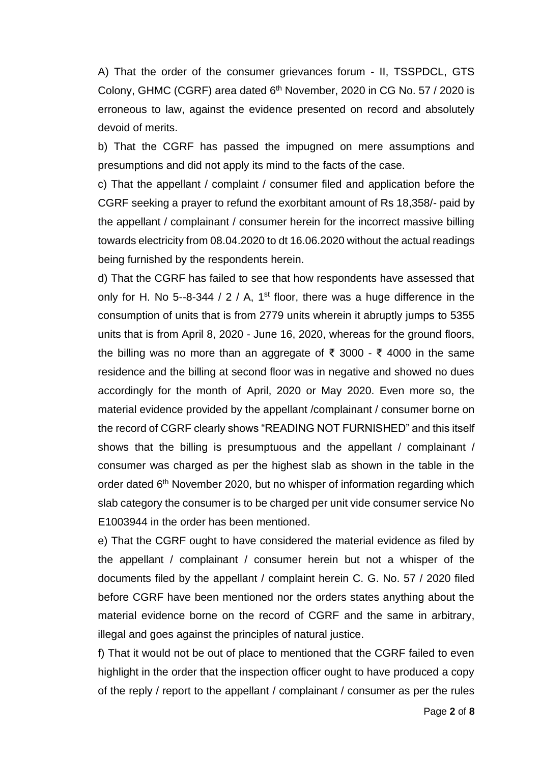A) That the order of the consumer grievances forum - II, TSSPDCL, GTS Colony, GHMC (CGRF) area dated 6<sup>th</sup> November, 2020 in CG No. 57 / 2020 is erroneous to law, against the evidence presented on record and absolutely devoid of merits.

b) That the CGRF has passed the impugned on mere assumptions and presumptions and did not apply its mind to the facts of the case.

c) That the appellant / complaint / consumer filed and application before the CGRF seeking a prayer to refund the exorbitant amount of Rs 18,358/- paid by the appellant / complainant / consumer herein for the incorrect massive billing towards electricity from 08.04.2020 to dt 16.06.2020 without the actual readings being furnished by the respondents herein.

d) That the CGRF has failed to see that how respondents have assessed that only for H. No 5--8-344 / 2 / A, 1<sup>st</sup> floor, there was a huge difference in the consumption of units that is from 2779 units wherein it abruptly jumps to 5355 units that is from April 8, 2020 - June 16, 2020, whereas for the ground floors, the billing was no more than an aggregate of ₹ 3000 - ₹ 4000 in the same residence and the billing at second floor was in negative and showed no dues accordingly for the month of April, 2020 or May 2020. Even more so, the material evidence provided by the appellant /complainant / consumer borne on the record of CGRF clearly shows "READING NOT FURNISHED" and this itself shows that the billing is presumptuous and the appellant / complainant / consumer was charged as per the highest slab as shown in the table in the order dated 6<sup>th</sup> November 2020, but no whisper of information regarding which slab category the consumer is to be charged per unit vide consumer service No E1003944 in the order has been mentioned.

e) That the CGRF ought to have considered the material evidence as filed by the appellant / complainant / consumer herein but not a whisper of the documents filed by the appellant / complaint herein C. G. No. 57 / 2020 filed before CGRF have been mentioned nor the orders states anything about the material evidence borne on the record of CGRF and the same in arbitrary, illegal and goes against the principles of natural justice.

f) That it would not be out of place to mentioned that the CGRF failed to even highlight in the order that the inspection officer ought to have produced a copy of the reply / report to the appellant / complainant / consumer as per the rules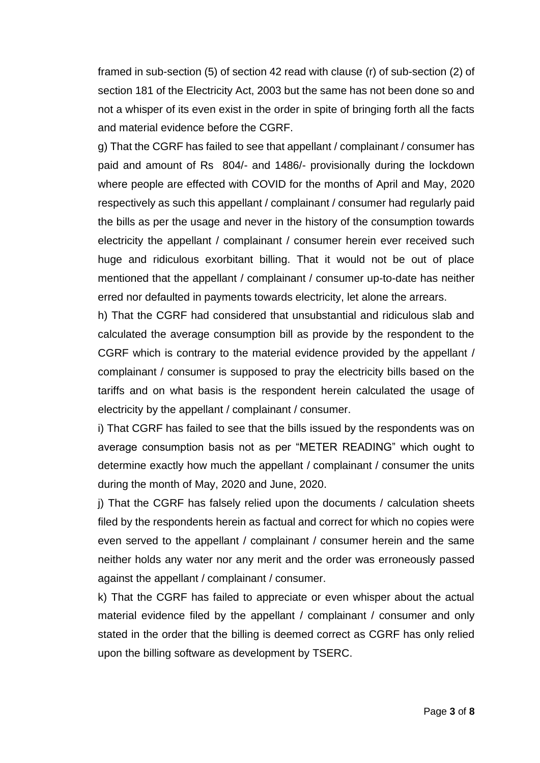framed in sub-section (5) of section 42 read with clause (r) of sub-section (2) of section 181 of the Electricity Act, 2003 but the same has not been done so and not a whisper of its even exist in the order in spite of bringing forth all the facts and material evidence before the CGRF.

g) That the CGRF has failed to see that appellant / complainant / consumer has paid and amount of Rs 804/- and 1486/- provisionally during the lockdown where people are effected with COVID for the months of April and May, 2020 respectively as such this appellant / complainant / consumer had regularly paid the bills as per the usage and never in the history of the consumption towards electricity the appellant / complainant / consumer herein ever received such huge and ridiculous exorbitant billing. That it would not be out of place mentioned that the appellant / complainant / consumer up-to-date has neither erred nor defaulted in payments towards electricity, let alone the arrears.

h) That the CGRF had considered that unsubstantial and ridiculous slab and calculated the average consumption bill as provide by the respondent to the CGRF which is contrary to the material evidence provided by the appellant / complainant / consumer is supposed to pray the electricity bills based on the tariffs and on what basis is the respondent herein calculated the usage of electricity by the appellant / complainant / consumer.

i) That CGRF has failed to see that the bills issued by the respondents was on average consumption basis not as per "METER READING" which ought to determine exactly how much the appellant / complainant / consumer the units during the month of May, 2020 and June, 2020.

j) That the CGRF has falsely relied upon the documents / calculation sheets filed by the respondents herein as factual and correct for which no copies were even served to the appellant / complainant / consumer herein and the same neither holds any water nor any merit and the order was erroneously passed against the appellant / complainant / consumer.

k) That the CGRF has failed to appreciate or even whisper about the actual material evidence filed by the appellant / complainant / consumer and only stated in the order that the billing is deemed correct as CGRF has only relied upon the billing software as development by TSERC.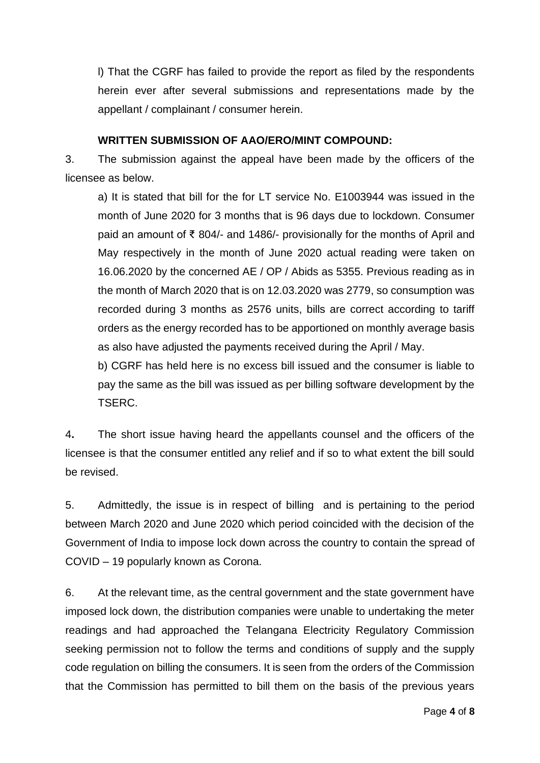l) That the CGRF has failed to provide the report as filed by the respondents herein ever after several submissions and representations made by the appellant / complainant / consumer herein.

#### **WRITTEN SUBMISSION OF AAO/ERO/MINT COMPOUND:**

3. The submission against the appeal have been made by the officers of the licensee as below.

a) It is stated that bill for the for LT service No. E1003944 was issued in the month of June 2020 for 3 months that is 96 days due to lockdown. Consumer paid an amount of ₹ 804/- and 1486/- provisionally for the months of April and May respectively in the month of June 2020 actual reading were taken on 16.06.2020 by the concerned AE / OP / Abids as 5355. Previous reading as in the month of March 2020 that is on 12.03.2020 was 2779, so consumption was recorded during 3 months as 2576 units, bills are correct according to tariff orders as the energy recorded has to be apportioned on monthly average basis as also have adjusted the payments received during the April / May.

b) CGRF has held here is no excess bill issued and the consumer is liable to pay the same as the bill was issued as per billing software development by the TSERC.

4**.** The short issue having heard the appellants counsel and the officers of the licensee is that the consumer entitled any relief and if so to what extent the bill sould be revised.

5. Admittedly, the issue is in respect of billing and is pertaining to the period between March 2020 and June 2020 which period coincided with the decision of the Government of India to impose lock down across the country to contain the spread of COVID – 19 popularly known as Corona.

6. At the relevant time, as the central government and the state government have imposed lock down, the distribution companies were unable to undertaking the meter readings and had approached the Telangana Electricity Regulatory Commission seeking permission not to follow the terms and conditions of supply and the supply code regulation on billing the consumers. It is seen from the orders of the Commission that the Commission has permitted to bill them on the basis of the previous years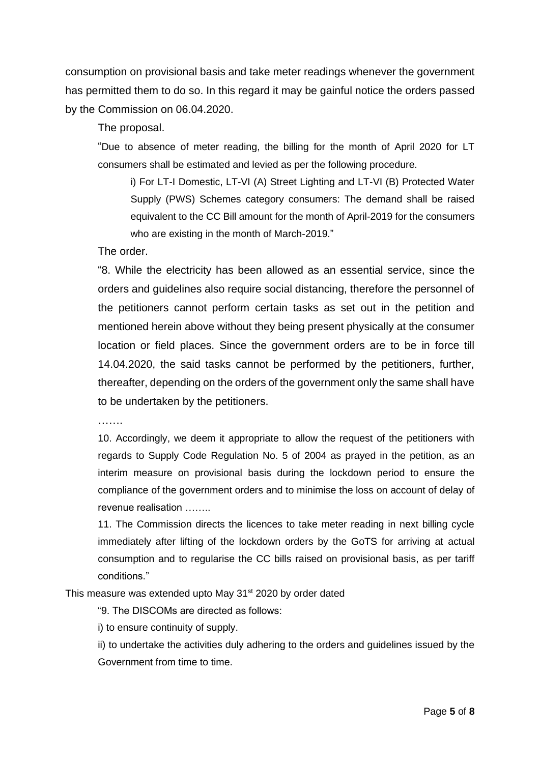consumption on provisional basis and take meter readings whenever the government has permitted them to do so. In this regard it may be gainful notice the orders passed by the Commission on 06.04.2020.

The proposal.

"Due to absence of meter reading, the billing for the month of April 2020 for LT consumers shall be estimated and levied as per the following procedure.

i) For LT-I Domestic, LT-VI (A) Street Lighting and LT-VI (B) Protected Water Supply (PWS) Schemes category consumers: The demand shall be raised equivalent to the CC Bill amount for the month of April-2019 for the consumers who are existing in the month of March-2019."

The order.

"8. While the electricity has been allowed as an essential service, since the orders and guidelines also require social distancing, therefore the personnel of the petitioners cannot perform certain tasks as set out in the petition and mentioned herein above without they being present physically at the consumer location or field places. Since the government orders are to be in force till 14.04.2020, the said tasks cannot be performed by the petitioners, further, thereafter, depending on the orders of the government only the same shall have to be undertaken by the petitioners.

…….

10. Accordingly, we deem it appropriate to allow the request of the petitioners with regards to Supply Code Regulation No. 5 of 2004 as prayed in the petition, as an interim measure on provisional basis during the lockdown period to ensure the compliance of the government orders and to minimise the loss on account of delay of revenue realisation ……..

11. The Commission directs the licences to take meter reading in next billing cycle immediately after lifting of the lockdown orders by the GoTS for arriving at actual consumption and to regularise the CC bills raised on provisional basis, as per tariff conditions."

This measure was extended upto May 31<sup>st</sup> 2020 by order dated

"9. The DISCOMs are directed as follows:

i) to ensure continuity of supply.

ii) to undertake the activities duly adhering to the orders and guidelines issued by the Government from time to time.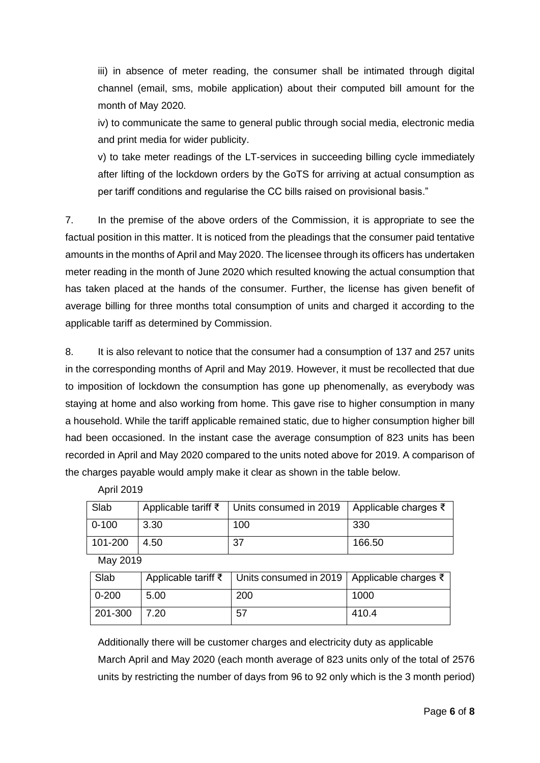iii) in absence of meter reading, the consumer shall be intimated through digital channel (email, sms, mobile application) about their computed bill amount for the month of May 2020.

iv) to communicate the same to general public through social media, electronic media and print media for wider publicity.

v) to take meter readings of the LT-services in succeeding billing cycle immediately after lifting of the lockdown orders by the GoTS for arriving at actual consumption as per tariff conditions and regularise the CC bills raised on provisional basis."

7. In the premise of the above orders of the Commission, it is appropriate to see the factual position in this matter. It is noticed from the pleadings that the consumer paid tentative amounts in the months of April and May 2020. The licensee through its officers has undertaken meter reading in the month of June 2020 which resulted knowing the actual consumption that has taken placed at the hands of the consumer. Further, the license has given benefit of average billing for three months total consumption of units and charged it according to the applicable tariff as determined by Commission.

8. It is also relevant to notice that the consumer had a consumption of 137 and 257 units in the corresponding months of April and May 2019. However, it must be recollected that due to imposition of lockdown the consumption has gone up phenomenally, as everybody was staying at home and also working from home. This gave rise to higher consumption in many a household. While the tariff applicable remained static, due to higher consumption higher bill had been occasioned. In the instant case the average consumption of 823 units has been recorded in April and May 2020 compared to the units noted above for 2019. A comparison of the charges payable would amply make it clear as shown in the table below.

| Slab      |        | Applicable tariff $\bar{\xi}$ Units consumed in 2019   Applicable charges $\bar{\xi}$ |        |
|-----------|--------|---------------------------------------------------------------------------------------|--------|
| $0 - 100$ | 3.30   | 100                                                                                   | -330   |
| 101-200   | l 4.50 | 37                                                                                    | 166.50 |

April 2019

May 2019

| Slab      |      | Applicable tariff ₹ Units consumed in 2019   Applicable charges ₹ |       |
|-----------|------|-------------------------------------------------------------------|-------|
| $0 - 200$ | 5.00 | 200                                                               | 1000  |
| 201-300   | 7.20 | 57                                                                | 410.4 |

Additionally there will be customer charges and electricity duty as applicable March April and May 2020 (each month average of 823 units only of the total of 2576 units by restricting the number of days from 96 to 92 only which is the 3 month period)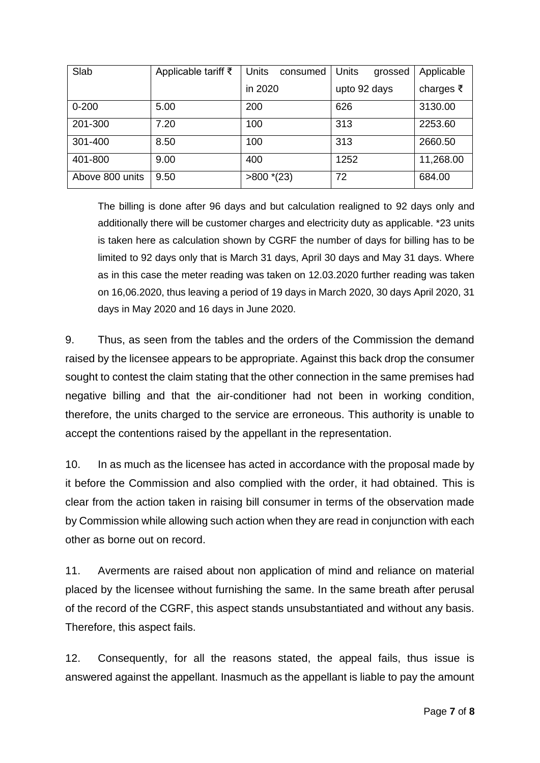| Slab            | Applicable tariff $\bar{\tau}$ | <b>Units</b><br>consumed | <b>Units</b><br>grossed | Applicable |
|-----------------|--------------------------------|--------------------------|-------------------------|------------|
|                 |                                | in 2020                  | upto 92 days            | charges ₹  |
| $0 - 200$       | 5.00                           | 200                      | 626                     | 3130.00    |
| 201-300         | 7.20                           | 100                      | 313                     | 2253.60    |
| 301-400         | 8.50                           | 100                      | 313                     | 2660.50    |
| 401-800         | 9.00                           | 400                      | 1252                    | 11,268.00  |
| Above 800 units | 9.50                           | $>800*(23)$              | 72                      | 684.00     |

The billing is done after 96 days and but calculation realigned to 92 days only and additionally there will be customer charges and electricity duty as applicable. \*23 units is taken here as calculation shown by CGRF the number of days for billing has to be limited to 92 days only that is March 31 days, April 30 days and May 31 days. Where as in this case the meter reading was taken on 12.03.2020 further reading was taken on 16,06.2020, thus leaving a period of 19 days in March 2020, 30 days April 2020, 31 days in May 2020 and 16 days in June 2020.

9. Thus, as seen from the tables and the orders of the Commission the demand raised by the licensee appears to be appropriate. Against this back drop the consumer sought to contest the claim stating that the other connection in the same premises had negative billing and that the air-conditioner had not been in working condition, therefore, the units charged to the service are erroneous. This authority is unable to accept the contentions raised by the appellant in the representation.

10. In as much as the licensee has acted in accordance with the proposal made by it before the Commission and also complied with the order, it had obtained. This is clear from the action taken in raising bill consumer in terms of the observation made by Commission while allowing such action when they are read in conjunction with each other as borne out on record.

11. Averments are raised about non application of mind and reliance on material placed by the licensee without furnishing the same. In the same breath after perusal of the record of the CGRF, this aspect stands unsubstantiated and without any basis. Therefore, this aspect fails.

12. Consequently, for all the reasons stated, the appeal fails, thus issue is answered against the appellant. Inasmuch as the appellant is liable to pay the amount